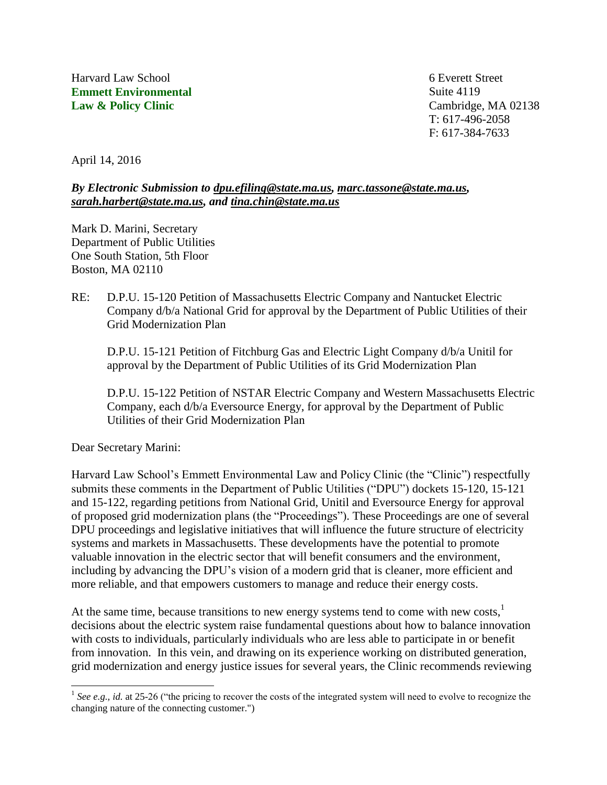Harvard Law School **Emmett Environmental Law & Policy Clinic**

6 Everett Street Suite 4119 Cambridge, MA 02138 T: 617-496-2058 F: 617-384-7633

April 14, 2016

#### *By Electronic Submission to [dpu.efiling@state.ma.us,](mailto:dpu.efiling@state.ma.us) [marc.tassone@state.ma.us,](mailto:marc.tassone@state.ma.us) [sarah.harbert@state.ma.us,](mailto:sarah.harbert@state.ma.us) and [tina.chin@state.ma.us](mailto:tina.chin@state.ma.us)*

Mark D. Marini, Secretary Department of Public Utilities One South Station, 5th Floor Boston, MA 02110

RE: D.P.U. 15-120 Petition of Massachusetts Electric Company and Nantucket Electric Company d/b/a National Grid for approval by the Department of Public Utilities of their Grid Modernization Plan

D.P.U. 15-121 Petition of Fitchburg Gas and Electric Light Company d/b/a Unitil for approval by the Department of Public Utilities of its Grid Modernization Plan

D.P.U. 15-122 Petition of NSTAR Electric Company and Western Massachusetts Electric Company, each d/b/a Eversource Energy, for approval by the Department of Public Utilities of their Grid Modernization Plan

Dear Secretary Marini:

l

Harvard Law School's Emmett Environmental Law and Policy Clinic (the "Clinic") respectfully submits these comments in the Department of Public Utilities ("DPU") dockets 15-120, 15-121 and 15-122, regarding petitions from National Grid, Unitil and Eversource Energy for approval of proposed grid modernization plans (the "Proceedings"). These Proceedings are one of several DPU proceedings and legislative initiatives that will influence the future structure of electricity systems and markets in Massachusetts. These developments have the potential to promote valuable innovation in the electric sector that will benefit consumers and the environment, including by advancing the DPU's vision of a modern grid that is cleaner, more efficient and more reliable, and that empowers customers to manage and reduce their energy costs.

At the same time, because transitions to new energy systems tend to come with new costs, $<sup>1</sup>$ </sup> decisions about the electric system raise fundamental questions about how to balance innovation with costs to individuals, particularly individuals who are less able to participate in or benefit from innovation. In this vein, and drawing on its experience working on distributed generation, grid modernization and energy justice issues for several years, the Clinic recommends reviewing

<sup>&</sup>lt;sup>1</sup> See e.g., *id.* at 25-26 ("the pricing to recover the costs of the integrated system will need to evolve to recognize the changing nature of the connecting customer.")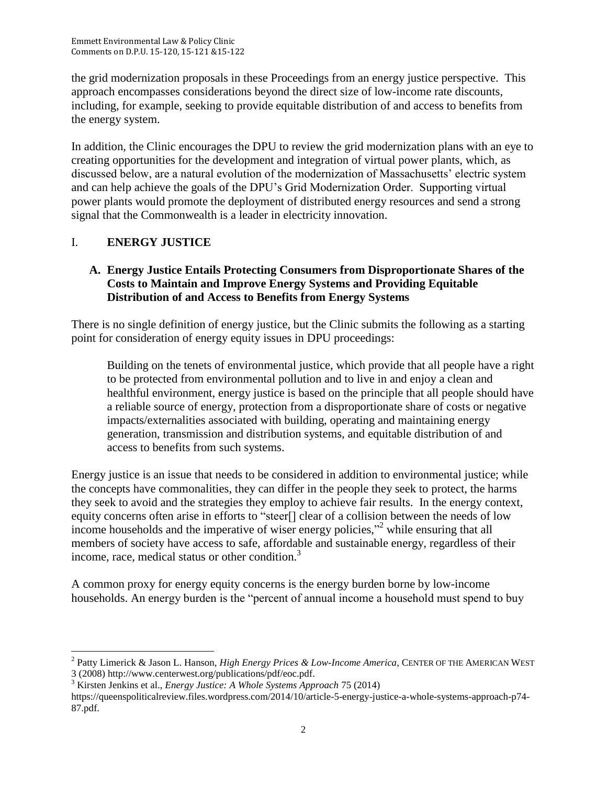the grid modernization proposals in these Proceedings from an energy justice perspective. This approach encompasses considerations beyond the direct size of low-income rate discounts, including, for example, seeking to provide equitable distribution of and access to benefits from the energy system.

In addition, the Clinic encourages the DPU to review the grid modernization plans with an eye to creating opportunities for the development and integration of virtual power plants, which, as discussed below, are a natural evolution of the modernization of Massachusetts' electric system and can help achieve the goals of the DPU's Grid Modernization Order. Supporting virtual power plants would promote the deployment of distributed energy resources and send a strong signal that the Commonwealth is a leader in electricity innovation.

# I. **ENERGY JUSTICE**

### **A. Energy Justice Entails Protecting Consumers from Disproportionate Shares of the Costs to Maintain and Improve Energy Systems and Providing Equitable Distribution of and Access to Benefits from Energy Systems**

There is no single definition of energy justice, but the Clinic submits the following as a starting point for consideration of energy equity issues in DPU proceedings:

Building on the tenets of environmental justice, which provide that all people have a right to be protected from environmental pollution and to live in and enjoy a clean and healthful environment, energy justice is based on the principle that all people should have a reliable source of energy, protection from a disproportionate share of costs or negative impacts/externalities associated with building, operating and maintaining energy generation, transmission and distribution systems, and equitable distribution of and access to benefits from such systems.

Energy justice is an issue that needs to be considered in addition to environmental justice; while the concepts have commonalities, they can differ in the people they seek to protect, the harms they seek to avoid and the strategies they employ to achieve fair results. In the energy context, equity concerns often arise in efforts to "steer[] clear of a collision between the needs of low income households and the imperative of wiser energy policies,"<sup>2</sup> while ensuring that all members of society have access to safe, affordable and sustainable energy, regardless of their income, race, medical status or other condition. 3

A common proxy for energy equity concerns is the energy burden borne by low-income households. An energy burden is the "percent of annual income a household must spend to buy

 $\overline{\phantom{a}}$ 2 Patty Limerick & Jason L. Hanson, *High Energy Prices & Low-Income America*, CENTER OF THE AMERICAN WEST 3 (2008) http://www.centerwest.org/publications/pdf/eoc.pdf.

<sup>3</sup> Kirsten Jenkins et al., *Energy Justice: A Whole Systems Approach* 75 (2014)

https://queenspoliticalreview.files.wordpress.com/2014/10/article-5-energy-justice-a-whole-systems-approach-p74- 87.pdf.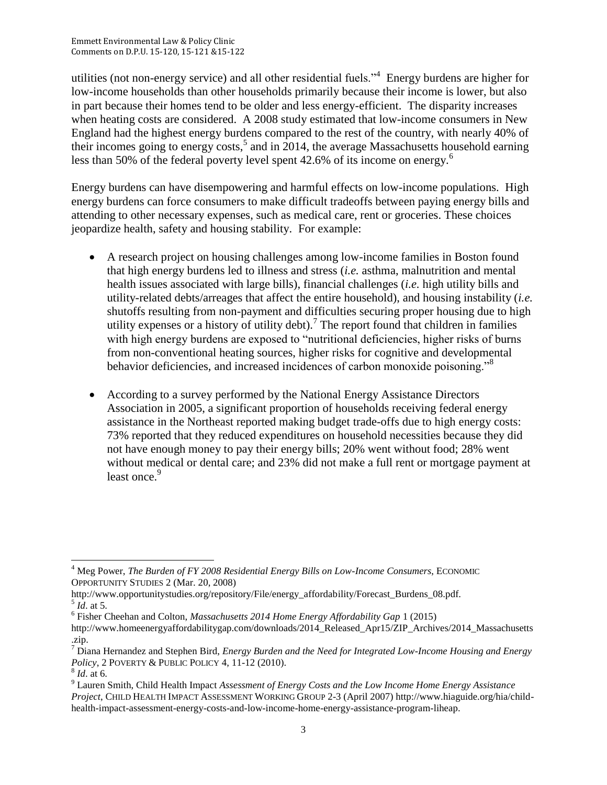utilities (not non-energy service) and all other residential fuels."<sup>4</sup> Energy burdens are higher for low-income households than other households primarily because their income is lower, but also in part because their homes tend to be older and less energy-efficient. The disparity increases when heating costs are considered. A 2008 study estimated that low-income consumers in New England had the highest energy burdens compared to the rest of the country, with nearly 40% of their incomes going to energy costs,<sup>5</sup> and in 2014, the average Massachusetts household earning less than 50% of the federal poverty level spent 42.6% of its income on energy.<sup>6</sup>

Energy burdens can have disempowering and harmful effects on low-income populations. High energy burdens can force consumers to make difficult tradeoffs between paying energy bills and attending to other necessary expenses, such as medical care, rent or groceries. These choices jeopardize health, safety and housing stability. For example:

- A research project on housing challenges among low-income families in Boston found that high energy burdens led to illness and stress (*i.e.* asthma, malnutrition and mental health issues associated with large bills), financial challenges (*i.e.* high utility bills and utility-related debts/arreages that affect the entire household), and housing instability (*i.e.* shutoffs resulting from non-payment and difficulties securing proper housing due to high utility expenses or a history of utility debt).<sup>7</sup> The report found that children in families with high energy burdens are exposed to "nutritional deficiencies, higher risks of burns from non-conventional heating sources, higher risks for cognitive and developmental behavior deficiencies, and increased incidences of carbon monoxide poisoning."<sup>8</sup>
- According to a survey performed by the National Energy Assistance Directors Association in 2005, a significant proportion of households receiving federal energy assistance in the Northeast reported making budget trade-offs due to high energy costs: 73% reported that they reduced expenditures on household necessities because they did not have enough money to pay their energy bills; 20% went without food; 28% went without medical or dental care; and 23% did not make a full rent or mortgage payment at least once.<sup>9</sup>

 $\overline{\phantom{a}}$ <sup>4</sup> Meg Power, *The Burden of FY 2008 Residential Energy Bills on Low-Income Consumers*, ECONOMIC OPPORTUNITY STUDIES 2 (Mar. 20, 2008)

http://www.opportunitystudies.org/repository/File/energy\_affordability/Forecast\_Burdens\_08.pdf.  $<sup>5</sup>$  *Id*. at 5.</sup>

<sup>6</sup> Fisher Cheehan and Colton, *Massachusetts 2014 Home Energy Affordability Gap* 1 (2015)

http://www.homeenergyaffordabilitygap.com/downloads/2014\_Released\_Apr15/ZIP\_Archives/2014\_Massachusetts .zip.

<sup>7</sup> Diana Hernandez and Stephen Bird, *Energy Burden and the Need for Integrated Low-Income Housing and Energy Policy*, 2 POVERTY & PUBLIC POLICY 4, 11-12 (2010).

<sup>8</sup> *Id*. at 6.

<sup>9</sup> Lauren Smith, Child Health Impact *Assessment of Energy Costs and the Low Income Home Energy Assistance Project*, CHILD HEALTH IMPACT ASSESSMENT WORKING GROUP 2-3 (April 2007) http://www.hiaguide.org/hia/childhealth-impact-assessment-energy-costs-and-low-income-home-energy-assistance-program-liheap.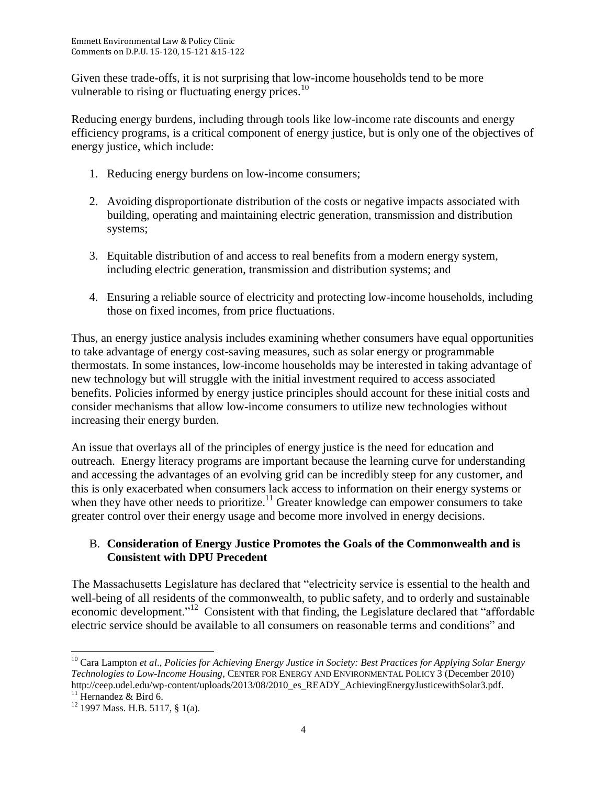Given these trade-offs, it is not surprising that low-income households tend to be more vulnerable to rising or fluctuating energy prices.<sup>10</sup>

Reducing energy burdens, including through tools like low-income rate discounts and energy efficiency programs, is a critical component of energy justice, but is only one of the objectives of energy justice, which include:

- 1. Reducing energy burdens on low-income consumers;
- 2. Avoiding disproportionate distribution of the costs or negative impacts associated with building, operating and maintaining electric generation, transmission and distribution systems;
- 3. Equitable distribution of and access to real benefits from a modern energy system, including electric generation, transmission and distribution systems; and
- 4. Ensuring a reliable source of electricity and protecting low-income households, including those on fixed incomes, from price fluctuations.

Thus, an energy justice analysis includes examining whether consumers have equal opportunities to take advantage of energy cost-saving measures, such as solar energy or programmable thermostats. In some instances, low-income households may be interested in taking advantage of new technology but will struggle with the initial investment required to access associated benefits. Policies informed by energy justice principles should account for these initial costs and consider mechanisms that allow low-income consumers to utilize new technologies without increasing their energy burden.

An issue that overlays all of the principles of energy justice is the need for education and outreach. Energy literacy programs are important because the learning curve for understanding and accessing the advantages of an evolving grid can be incredibly steep for any customer, and this is only exacerbated when consumers lack access to information on their energy systems or when they have other needs to prioritize.<sup>11</sup> Greater knowledge can empower consumers to take greater control over their energy usage and become more involved in energy decisions.

## B. **Consideration of Energy Justice Promotes the Goals of the Commonwealth and is Consistent with DPU Precedent**

The Massachusetts Legislature has declared that "electricity service is essential to the health and well-being of all residents of the commonwealth, to public safety, and to orderly and sustainable economic development."<sup>12</sup> Consistent with that finding, the Legislature declared that "affordable" electric service should be available to all consumers on reasonable terms and conditions" and

 $\overline{\phantom{a}}$ <sup>10</sup> Cara Lampton *et al*., *Policies for Achieving Energy Justice in Society: Best Practices for Applying Solar Energy Technologies to Low-Income Housing*, CENTER FOR ENERGY AND ENVIRONMENTAL POLICY 3 (December 2010) http://ceep.udel.edu/wp-content/uploads/2013/08/2010\_es\_READY\_AchievingEnergyJusticewithSolar3.pdf. <sup>11</sup> Hernandez  $\&$  Bird 6.

 $12$  1997 Mass. H.B. 5117, § 1(a).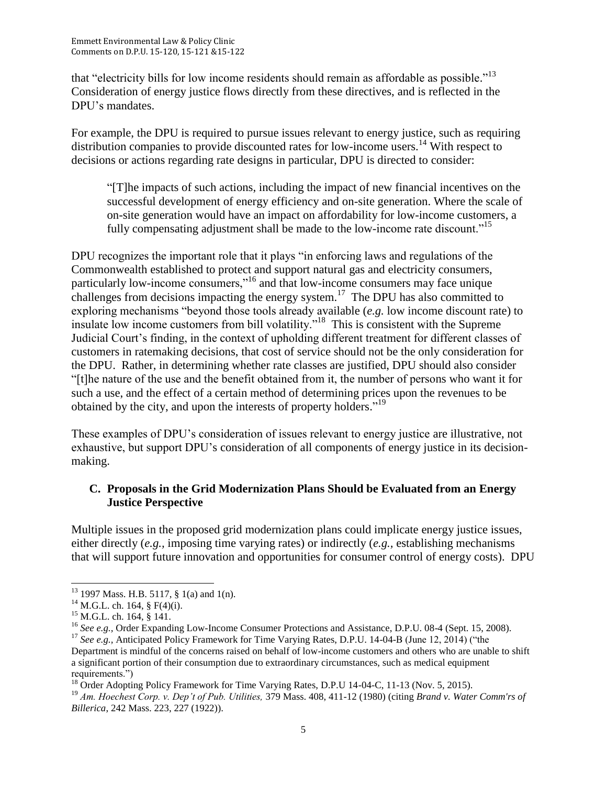that "electricity bills for low income residents should remain as affordable as possible."<sup>13</sup> Consideration of energy justice flows directly from these directives, and is reflected in the DPU's mandates.

For example, the DPU is required to pursue issues relevant to energy justice, such as requiring distribution companies to provide discounted rates for low-income users.<sup>14</sup> With respect to decisions or actions regarding rate designs in particular, DPU is directed to consider:

"[T]he impacts of such actions, including the impact of new financial incentives on the successful development of energy efficiency and on-site generation. Where the scale of on-site generation would have an impact on affordability for low-income customers, a fully compensating adjustment shall be made to the low-income rate discount.<sup>"15</sup>

DPU recognizes the important role that it plays "in enforcing laws and regulations of the Commonwealth established to protect and support natural gas and electricity consumers, particularly low-income consumers,"<sup>16</sup> and that low-income consumers may face unique challenges from decisions impacting the energy system.<sup>17</sup> The DPU has also committed to exploring mechanisms "beyond those tools already available (*e.g.* low income discount rate) to insulate low income customers from bill volatility."<sup>18</sup> This is consistent with the Supreme Judicial Court's finding, in the context of upholding different treatment for different classes of customers in ratemaking decisions, that cost of service should not be the only consideration for the DPU. Rather, in determining whether rate classes are justified, DPU should also consider "[t]he nature of the use and the benefit obtained from it, the number of persons who want it for such a use, and the effect of a certain method of determining prices upon the revenues to be obtained by the city, and upon the interests of property holders."<sup>19</sup>

These examples of DPU's consideration of issues relevant to energy justice are illustrative, not exhaustive, but support DPU's consideration of all components of energy justice in its decisionmaking.

### **C. Proposals in the Grid Modernization Plans Should be Evaluated from an Energy Justice Perspective**

Multiple issues in the proposed grid modernization plans could implicate energy justice issues, either directly (*e.g.,* imposing time varying rates) or indirectly (*e.g.,* establishing mechanisms that will support future innovation and opportunities for consumer control of energy costs). DPU

l  $13$  1997 Mass. H.B. 5117, § 1(a) and 1(n).

<sup>&</sup>lt;sup>14</sup> M.G.L. ch. 164, § F(4)(i).

<sup>&</sup>lt;sup>15</sup> M.G.L. ch. 164, § 141.

<sup>&</sup>lt;sup>16</sup> See e.g., Order Expanding Low-Income Consumer Protections and Assistance, D.P.U. 08-4 (Sept. 15, 2008).

<sup>&</sup>lt;sup>17</sup> See e.g., Anticipated Policy Framework for Time Varying Rates, D.P.U. 14-04-B (June 12, 2014) ("the Department is mindful of the concerns raised on behalf of low-income customers and others who are unable to shift a significant portion of their consumption due to extraordinary circumstances, such as medical equipment requirements.")

 $18$  Order Adopting Policy Framework for Time Varying Rates, D.P.U 14-04-C, 11-13 (Nov. 5, 2015).

<sup>19</sup> *Am. Hoechest Corp. v. Dep't of Pub. Utilities,* 379 Mass. 408, 411-12 (1980) (citing *Brand v. Water Comm'rs of Billerica*, 242 Mass. 223, 227 (1922)).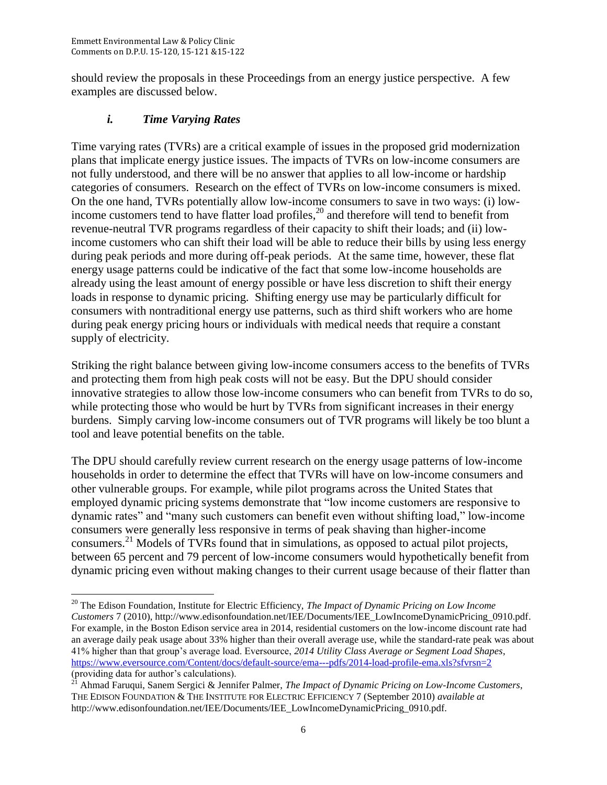should review the proposals in these Proceedings from an energy justice perspective. A few examples are discussed below.

## *i. Time Varying Rates*

Time varying rates (TVRs) are a critical example of issues in the proposed grid modernization plans that implicate energy justice issues. The impacts of TVRs on low-income consumers are not fully understood, and there will be no answer that applies to all low-income or hardship categories of consumers. Research on the effect of TVRs on low-income consumers is mixed. On the one hand, TVRs potentially allow low-income consumers to save in two ways: (i) lowincome customers tend to have flatter load profiles,  $^{20}$  and therefore will tend to benefit from revenue-neutral TVR programs regardless of their capacity to shift their loads; and (ii) lowincome customers who can shift their load will be able to reduce their bills by using less energy during peak periods and more during off-peak periods. At the same time, however, these flat energy usage patterns could be indicative of the fact that some low-income households are already using the least amount of energy possible or have less discretion to shift their energy loads in response to dynamic pricing. Shifting energy use may be particularly difficult for consumers with nontraditional energy use patterns, such as third shift workers who are home during peak energy pricing hours or individuals with medical needs that require a constant supply of electricity.

Striking the right balance between giving low-income consumers access to the benefits of TVRs and protecting them from high peak costs will not be easy. But the DPU should consider innovative strategies to allow those low-income consumers who can benefit from TVRs to do so, while protecting those who would be hurt by TVRs from significant increases in their energy burdens. Simply carving low-income consumers out of TVR programs will likely be too blunt a tool and leave potential benefits on the table.

The DPU should carefully review current research on the energy usage patterns of low-income households in order to determine the effect that TVRs will have on low-income consumers and other vulnerable groups. For example, while pilot programs across the United States that employed dynamic pricing systems demonstrate that "low income customers are responsive to dynamic rates" and "many such customers can benefit even without shifting load," low-income consumers were generally less responsive in terms of peak shaving than higher-income consumers.<sup>21</sup> Models of TVRs found that in simulations, as opposed to actual pilot projects, between 65 percent and 79 percent of low-income consumers would hypothetically benefit from dynamic pricing even without making changes to their current usage because of their flatter than

 $\overline{\phantom{a}}$ <sup>20</sup> The Edison Foundation, Institute for Electric Efficiency, *The Impact of Dynamic Pricing on Low Income Customers* 7 (2010), http://www.edisonfoundation.net/IEE/Documents/IEE\_LowIncomeDynamicPricing\_0910.pdf. For example, in the Boston Edison service area in 2014, residential customers on the low-income discount rate had an average daily peak usage about 33% higher than their overall average use, while the standard-rate peak was about 41% higher than that group's average load. Eversource, *2014 Utility Class Average or Segment Load Shapes*, <https://www.eversource.com/Content/docs/default-source/ema---pdfs/2014-load-profile-ema.xls?sfvrsn=2> (providing data for author's calculations).

<sup>21</sup> Ahmad Faruqui, Sanem Sergici & Jennifer Palmer, *The Impact of Dynamic Pricing on Low-Income Customers*, THE EDISON FOUNDATION & THE INSTITUTE FOR ELECTRIC EFFICIENCY 7 (September 2010) *available at* http://www.edisonfoundation.net/IEE/Documents/IEE\_LowIncomeDynamicPricing\_0910.pdf.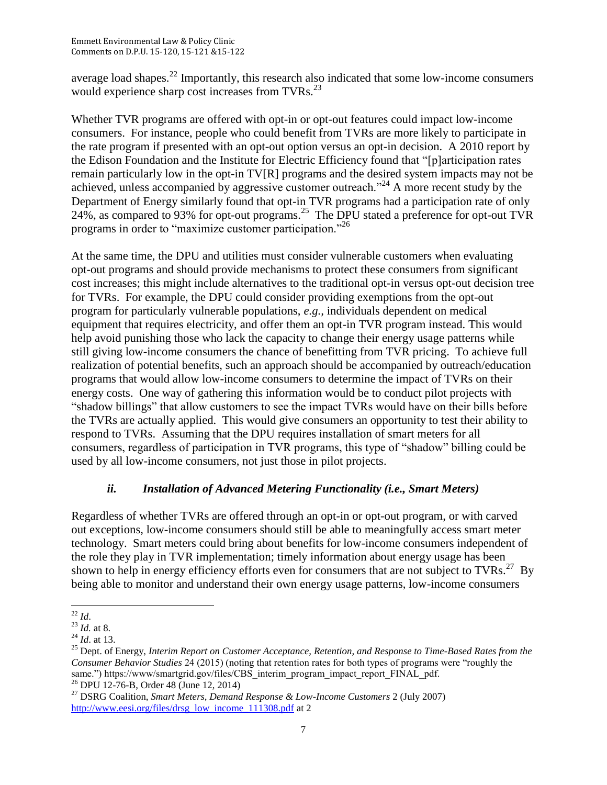average load shapes.<sup>22</sup> Importantly, this research also indicated that some low-income consumers would experience sharp cost increases from TVRs.<sup>23</sup>

Whether TVR programs are offered with opt-in or opt-out features could impact low-income consumers. For instance, people who could benefit from TVRs are more likely to participate in the rate program if presented with an opt-out option versus an opt-in decision. A 2010 report by the Edison Foundation and the Institute for Electric Efficiency found that "[p]articipation rates remain particularly low in the opt-in TV[R] programs and the desired system impacts may not be achieved, unless accompanied by aggressive customer outreach."<sup>24</sup> A more recent study by the Department of Energy similarly found that opt-in TVR programs had a participation rate of only 24%, as compared to 93% for opt-out programs.<sup>25</sup> The DPU stated a preference for opt-out TVR programs in order to "maximize customer participation."<sup>26</sup>

At the same time, the DPU and utilities must consider vulnerable customers when evaluating opt-out programs and should provide mechanisms to protect these consumers from significant cost increases; this might include alternatives to the traditional opt-in versus opt-out decision tree for TVRs. For example, the DPU could consider providing exemptions from the opt-out program for particularly vulnerable populations, *e.g.,* individuals dependent on medical equipment that requires electricity, and offer them an opt-in TVR program instead. This would help avoid punishing those who lack the capacity to change their energy usage patterns while still giving low-income consumers the chance of benefitting from TVR pricing. To achieve full realization of potential benefits, such an approach should be accompanied by outreach/education programs that would allow low-income consumers to determine the impact of TVRs on their energy costs. One way of gathering this information would be to conduct pilot projects with "shadow billings" that allow customers to see the impact TVRs would have on their bills before the TVRs are actually applied. This would give consumers an opportunity to test their ability to respond to TVRs. Assuming that the DPU requires installation of smart meters for all consumers, regardless of participation in TVR programs, this type of "shadow" billing could be used by all low-income consumers, not just those in pilot projects.

# *ii. Installation of Advanced Metering Functionality (i.e., Smart Meters)*

Regardless of whether TVRs are offered through an opt-in or opt-out program, or with carved out exceptions, low-income consumers should still be able to meaningfully access smart meter technology. Smart meters could bring about benefits for low-income consumers independent of the role they play in TVR implementation; timely information about energy usage has been shown to help in energy efficiency efforts even for consumers that are not subject to TVRs.<sup>27</sup> By being able to monitor and understand their own energy usage patterns, low-income consumers

 $\overline{\phantom{a}}$ <sup>22</sup> *Id*.

<sup>23</sup> *Id.* at 8.

<sup>24</sup> *Id*. at 13.

<sup>25</sup> Dept. of Energy, *Interim Report on Customer Acceptance, Retention, and Response to Time-Based Rates from the Consumer Behavior Studies* 24 (2015) (noting that retention rates for both types of programs were "roughly the same.") https://www/smartgrid.gov/files/CBS\_interim\_program\_impact\_report\_FINAL\_pdf. <sup>26</sup> DPU 12-76-B, Order 48 (June 12, 2014)

<sup>27</sup> DSRG Coalition, *Smart Meters, Demand Response & Low-Income Customers* 2 (July 2007) [http://www.eesi.org/files/drsg\\_low\\_income\\_111308.pdf](http://www.eesi.org/files/drsg_low_income_111308.pdf) at 2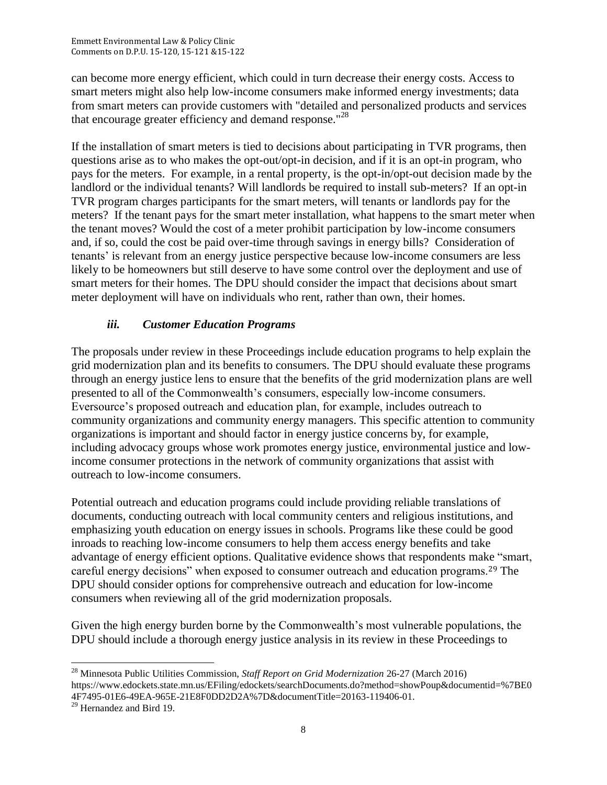can become more energy efficient, which could in turn decrease their energy costs. Access to smart meters might also help low-income consumers make informed energy investments; data from smart meters can provide customers with "detailed and personalized products and services that encourage greater efficiency and demand response."<sup>28</sup>

If the installation of smart meters is tied to decisions about participating in TVR programs, then questions arise as to who makes the opt-out/opt-in decision, and if it is an opt-in program, who pays for the meters. For example, in a rental property, is the opt-in/opt-out decision made by the landlord or the individual tenants? Will landlords be required to install sub-meters? If an opt-in TVR program charges participants for the smart meters, will tenants or landlords pay for the meters? If the tenant pays for the smart meter installation, what happens to the smart meter when the tenant moves? Would the cost of a meter prohibit participation by low-income consumers and, if so, could the cost be paid over-time through savings in energy bills? Consideration of tenants' is relevant from an energy justice perspective because low-income consumers are less likely to be homeowners but still deserve to have some control over the deployment and use of smart meters for their homes. The DPU should consider the impact that decisions about smart meter deployment will have on individuals who rent, rather than own, their homes.

# *iii. Customer Education Programs*

The proposals under review in these Proceedings include education programs to help explain the grid modernization plan and its benefits to consumers. The DPU should evaluate these programs through an energy justice lens to ensure that the benefits of the grid modernization plans are well presented to all of the Commonwealth's consumers, especially low-income consumers. Eversource's proposed outreach and education plan, for example, includes outreach to community organizations and community energy managers. This specific attention to community organizations is important and should factor in energy justice concerns by, for example, including advocacy groups whose work promotes energy justice, environmental justice and lowincome consumer protections in the network of community organizations that assist with outreach to low-income consumers.

Potential outreach and education programs could include providing reliable translations of documents, conducting outreach with local community centers and religious institutions, and emphasizing youth education on energy issues in schools. Programs like these could be good inroads to reaching low-income consumers to help them access energy benefits and take advantage of energy efficient options. Qualitative evidence shows that respondents make "smart, careful energy decisions" when exposed to consumer outreach and education programs.<sup>29</sup> The DPU should consider options for comprehensive outreach and education for low-income consumers when reviewing all of the grid modernization proposals.

Given the high energy burden borne by the Commonwealth's most vulnerable populations, the DPU should include a thorough energy justice analysis in its review in these Proceedings to

 $\overline{\phantom{a}}$ 

<sup>28</sup> Minnesota Public Utilities Commission, *Staff Report on Grid Modernization* 26-27 (March 2016) https://www.edockets.state.mn.us/EFiling/edockets/searchDocuments.do?method=showPoup&documentid=%7BE0 4F7495-01E6-49EA-965E-21E8F0DD2D2A%7D&documentTitle=20163-119406-01.

<sup>&</sup>lt;sup>29</sup> Hernandez and Bird 19.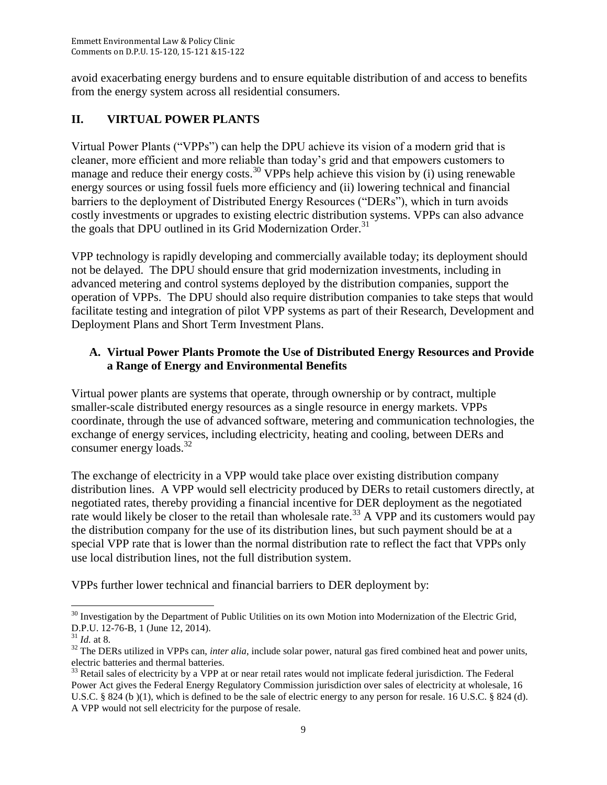avoid exacerbating energy burdens and to ensure equitable distribution of and access to benefits from the energy system across all residential consumers.

# **II. VIRTUAL POWER PLANTS**

Virtual Power Plants ("VPPs") can help the DPU achieve its vision of a modern grid that is cleaner, more efficient and more reliable than today's grid and that empowers customers to manage and reduce their energy costs.<sup>30</sup> VPPs help achieve this vision by (i) using renewable energy sources or using fossil fuels more efficiency and (ii) lowering technical and financial barriers to the deployment of Distributed Energy Resources ("DERs"), which in turn avoids costly investments or upgrades to existing electric distribution systems. VPPs can also advance the goals that DPU outlined in its Grid Modernization Order.<sup>31</sup>

VPP technology is rapidly developing and commercially available today; its deployment should not be delayed. The DPU should ensure that grid modernization investments, including in advanced metering and control systems deployed by the distribution companies, support the operation of VPPs. The DPU should also require distribution companies to take steps that would facilitate testing and integration of pilot VPP systems as part of their Research, Development and Deployment Plans and Short Term Investment Plans.

# **A. Virtual Power Plants Promote the Use of Distributed Energy Resources and Provide a Range of Energy and Environmental Benefits**

Virtual power plants are systems that operate, through ownership or by contract, multiple smaller-scale distributed energy resources as a single resource in energy markets. VPPs coordinate, through the use of advanced software, metering and communication technologies, the exchange of energy services, including electricity, heating and cooling, between DERs and consumer energy loads.<sup>32</sup>

The exchange of electricity in a VPP would take place over existing distribution company distribution lines. A VPP would sell electricity produced by DERs to retail customers directly, at negotiated rates, thereby providing a financial incentive for DER deployment as the negotiated rate would likely be closer to the retail than wholesale rate.<sup>33</sup> A VPP and its customers would pay the distribution company for the use of its distribution lines, but such payment should be at a special VPP rate that is lower than the normal distribution rate to reflect the fact that VPPs only use local distribution lines, not the full distribution system.

VPPs further lower technical and financial barriers to DER deployment by:

 $\overline{\phantom{a}}$  $30$  Investigation by the Department of Public Utilities on its own Motion into Modernization of the Electric Grid, D.P.U. 12-76-B, 1 (June 12, 2014).

<sup>31</sup> *Id.* at 8.

<sup>&</sup>lt;sup>32</sup> The DERs utilized in VPPs can, *inter alia*, include solar power, natural gas fired combined heat and power units, electric batteries and thermal batteries.

 $33$  Retail sales of electricity by a VPP at or near retail rates would not implicate federal jurisdiction. The Federal Power Act gives the Federal Energy Regulatory Commission jurisdiction over sales of electricity at wholesale, 16 U.S.C. § 824 (b)(1), which is defined to be the sale of electric energy to any person for resale. 16 U.S.C. § 824 (d). A VPP would not sell electricity for the purpose of resale.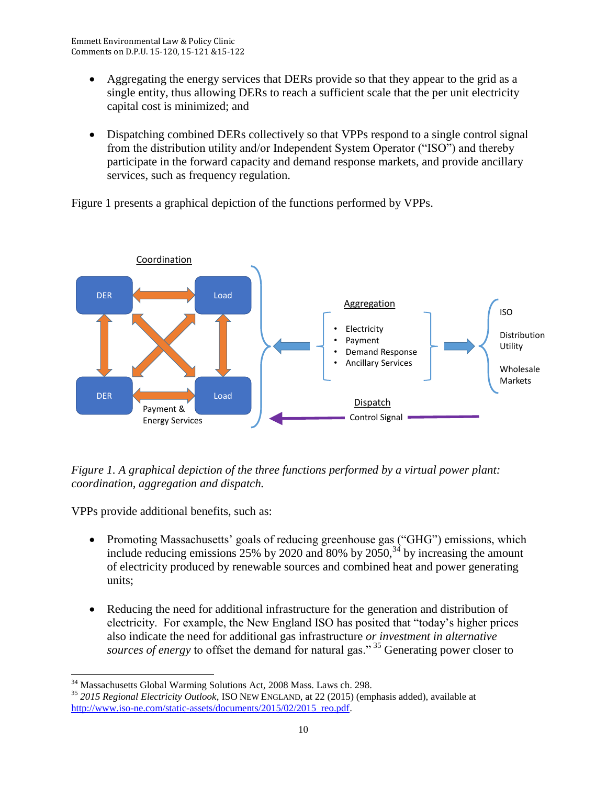- Aggregating the energy services that DERs provide so that they appear to the grid as a single entity, thus allowing DERs to reach a sufficient scale that the per unit electricity capital cost is minimized; and
- Dispatching combined DERs collectively so that VPPs respond to a single control signal from the distribution utility and/or Independent System Operator ("ISO") and thereby participate in the forward capacity and demand response markets, and provide ancillary services, such as frequency regulation.

Figure 1 presents a graphical depiction of the functions performed by VPPs.



*Figure 1. A graphical depiction of the three functions performed by a virtual power plant: coordination, aggregation and dispatch.* 

VPPs provide additional benefits, such as:

- Promoting Massachusetts' goals of reducing greenhouse gas ("GHG") emissions, which include reducing emissions  $25\%$  by 2020 and 80% by  $2050$ ,  $34$  by increasing the amount of electricity produced by renewable sources and combined heat and power generating units;
- Reducing the need for additional infrastructure for the generation and distribution of electricity. For example, the New England ISO has posited that "today's higher prices also indicate the need for additional gas infrastructure *or investment in alternative sources of energy* to offset the demand for natural gas."<sup>35</sup> Generating power closer to

 $\overline{\phantom{a}}$ <sup>34</sup> Massachusetts Global Warming Solutions Act, 2008 Mass. Laws ch. 298.

<sup>35</sup> *2015 Regional Electricity Outlook*, ISO NEW ENGLAND, at 22 (2015) (emphasis added), available at [http://www.iso-ne.com/static-assets/documents/2015/02/2015\\_reo.pdf.](http://www.iso-ne.com/static-assets/documents/2015/02/2015_reo.pdf)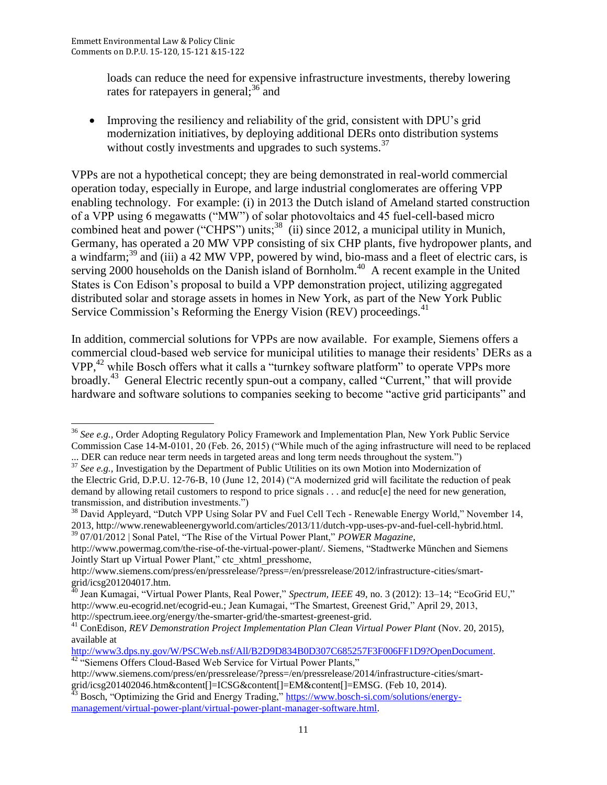$\overline{\phantom{a}}$ 

loads can reduce the need for expensive infrastructure investments, thereby lowering rates for ratepayers in general;<sup>36</sup> and

 Improving the resiliency and reliability of the grid, consistent with DPU's grid modernization initiatives, by deploying additional DERs onto distribution systems without costly investments and upgrades to such systems.<sup>37</sup>

VPPs are not a hypothetical concept; they are being demonstrated in real-world commercial operation today, especially in Europe, and large industrial conglomerates are offering VPP enabling technology. For example: (i) in 2013 the Dutch island of Ameland started construction of a VPP using 6 megawatts ("MW") of solar photovoltaics and 45 fuel-cell-based micro combined heat and power ("CHPS") units;<sup>38</sup> (ii) since 2012, a municipal utility in Munich, Germany, has operated a 20 MW VPP consisting of six CHP plants, five hydropower plants, and a windfarm;<sup>39</sup> and (iii) a 42 MW VPP, powered by wind, bio-mass and a fleet of electric cars, is serving 2000 households on the Danish island of Bornholm.<sup>40</sup> A recent example in the United States is Con Edison's proposal to build a VPP demonstration project, utilizing aggregated distributed solar and storage assets in homes in New York, as part of the New York Public Service Commission's Reforming the Energy Vision (REV) proceedings.<sup>41</sup>

In addition, commercial solutions for VPPs are now available. For example, Siemens offers a commercial cloud-based web service for municipal utilities to manage their residents' DERs as a VPP,<sup>42</sup> while Bosch offers what it calls a "turnkey software platform" to operate VPPs more broadly.<sup>43</sup> General Electric recently spun-out a company, called "Current," that will provide hardware and software solutions to companies seeking to become "active grid participants" and

... DER can reduce near term needs in targeted areas and long term needs throughout the system.")

<sup>39</sup> 07/01/2012 | Sonal Patel, "The Rise of the Virtual Power Plant," *POWER Magazine*,

<sup>36</sup> *See e.g.,* Order Adopting Regulatory Policy Framework and Implementation Plan, New York Public Service Commission Case 14-M-0101, 20 (Feb. 26, 2015) ("While much of the aging infrastructure will need to be replaced

<sup>&</sup>lt;sup>37</sup> See e.g., Investigation by the Department of Public Utilities on its own Motion into Modernization of the Electric Grid, D.P.U. 12-76-B, 10 (June 12, 2014) ("A modernized grid will facilitate the reduction of peak demand by allowing retail customers to respond to price signals . . . and reduc[e] the need for new generation, transmission, and distribution investments.")

<sup>38</sup> David Appleyard, "Dutch VPP Using Solar PV and Fuel Cell Tech - Renewable Energy World," November 14, 2013, http://www.renewableenergyworld.com/articles/2013/11/dutch-vpp-uses-pv-and-fuel-cell-hybrid.html.

http://www.powermag.com/the-rise-of-the-virtual-power-plant/. Siemens, "Stadtwerke München and Siemens Jointly Start up Virtual Power Plant," ctc\_xhtml\_presshome,

http://www.siemens.com/press/en/pressrelease/?press=/en/pressrelease/2012/infrastructure-cities/smartgrid/icsg201204017.htm.

<sup>40</sup> Jean Kumagai, "Virtual Power Plants, Real Power," *Spectrum, IEEE* 49, no. 3 (2012): 13–14; "EcoGrid EU," http://www.eu-ecogrid.net/ecogrid-eu.; Jean Kumagai, "The Smartest, Greenest Grid," April 29, 2013, http://spectrum.ieee.org/energy/the-smarter-grid/the-smartest-greenest-grid.

<sup>&</sup>lt;sup>41</sup> ConEdison, *REV Demonstration Project Implementation Plan Clean Virtual Power Plant (Nov. 20, 2015),* available at

[http://www3.dps.ny.gov/W/PSCWeb.nsf/All/B2D9D834B0D307C685257F3F006FF1D9?OpenDocument.](http://www3.dps.ny.gov/W/PSCWeb.nsf/All/B2D9D834B0D307C685257F3F006FF1D9?OpenDocument) <sup>42</sup> "Siemens Offers Cloud-Based Web Service for Virtual Power Plants,"

http://www.siemens.com/press/en/pressrelease/?press=/en/pressrelease/2014/infrastructure-cities/smartgrid/icsg201402046.htm&content[]=ICSG&content[]=EM&content[]=EMSG. (Feb 10, 2014).

 $^{43}$  Bosch, "Optimizing the Grid and Energy Trading," [https://www.bosch-si.com/solutions/energy](https://www.bosch-si.com/solutions/energy-management/virtual-power-plant/virtual-power-plant-manager-software.html)[management/virtual-power-plant/virtual-power-plant-manager-software.html.](https://www.bosch-si.com/solutions/energy-management/virtual-power-plant/virtual-power-plant-manager-software.html)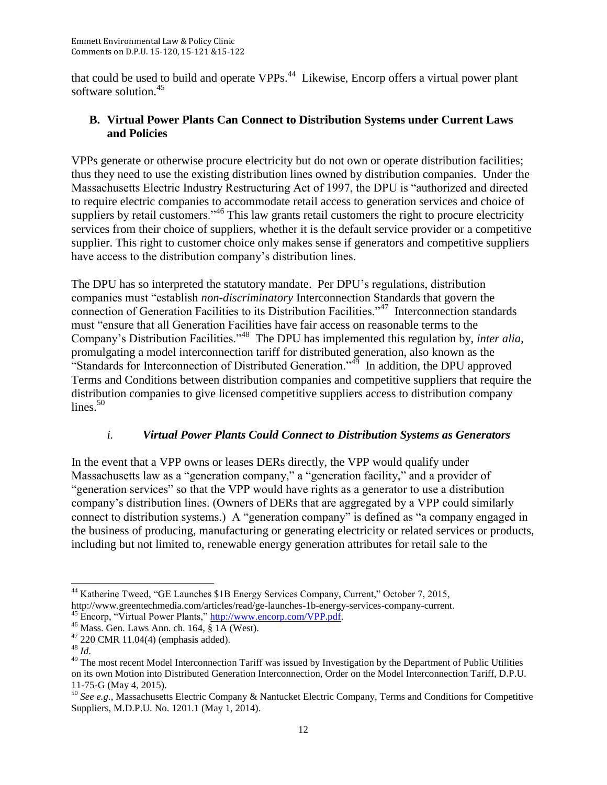that could be used to build and operate VPPs.<sup>44</sup> Likewise, Encorp offers a virtual power plant software solution.<sup>45</sup>

# **B. Virtual Power Plants Can Connect to Distribution Systems under Current Laws and Policies**

VPPs generate or otherwise procure electricity but do not own or operate distribution facilities; thus they need to use the existing distribution lines owned by distribution companies. Under the Massachusetts Electric Industry Restructuring Act of 1997, the DPU is "authorized and directed to require electric companies to accommodate retail access to generation services and choice of suppliers by retail customers."<sup>46</sup> This law grants retail customers the right to procure electricity services from their choice of suppliers, whether it is the default service provider or a competitive supplier. This right to customer choice only makes sense if generators and competitive suppliers have access to the distribution company's distribution lines.

The DPU has so interpreted the statutory mandate. Per DPU's regulations, distribution companies must "establish *non-discriminatory* Interconnection Standards that govern the connection of Generation Facilities to its Distribution Facilities."<sup>47</sup> Interconnection standards must "ensure that all Generation Facilities have fair access on reasonable terms to the Company's Distribution Facilities."<sup>48</sup> The DPU has implemented this regulation by, *inter alia*, promulgating a model interconnection tariff for distributed generation, also known as the "Standards for Interconnection of Distributed Generation."<sup>49</sup> In addition, the DPU approved Terms and Conditions between distribution companies and competitive suppliers that require the distribution companies to give licensed competitive suppliers access to distribution company lines. $50$ 

# *i. Virtual Power Plants Could Connect to Distribution Systems as Generators*

In the event that a VPP owns or leases DERs directly, the VPP would qualify under Massachusetts law as a "generation company," a "generation facility," and a provider of "generation services" so that the VPP would have rights as a generator to use a distribution company's distribution lines. (Owners of DERs that are aggregated by a VPP could similarly connect to distribution systems.) A "generation company" is defined as "a company engaged in the business of producing, manufacturing or generating electricity or related services or products, including but not limited to, renewable energy generation attributes for retail sale to the

l <sup>44</sup> Katherine Tweed, "GE Launches \$1B Energy Services Company, Current," October 7, 2015, http://www.greentechmedia.com/articles/read/ge-launches-1b-energy-services-company-current.

<sup>&</sup>lt;sup>45</sup> Encorp, "Virtual Power Plants," [http://www.encorp.com/VPP.pdf.](http://www.encorp.com/VPP.pdf)

<sup>46</sup> Mass. Gen. Laws Ann. ch. 164, § 1A (West).

 $47$  220 CMR 11.04(4) (emphasis added).

<sup>48</sup> *Id*.

<sup>&</sup>lt;sup>49</sup> The most recent Model Interconnection Tariff was issued by Investigation by the Department of Public Utilities on its own Motion into Distributed Generation Interconnection, Order on the Model Interconnection Tariff, D.P.U. 11-75-G (May 4, 2015).

<sup>50</sup> *See e.g.,* Massachusetts Electric Company & Nantucket Electric Company, Terms and Conditions for Competitive Suppliers, M.D.P.U. No. 1201.1 (May 1, 2014).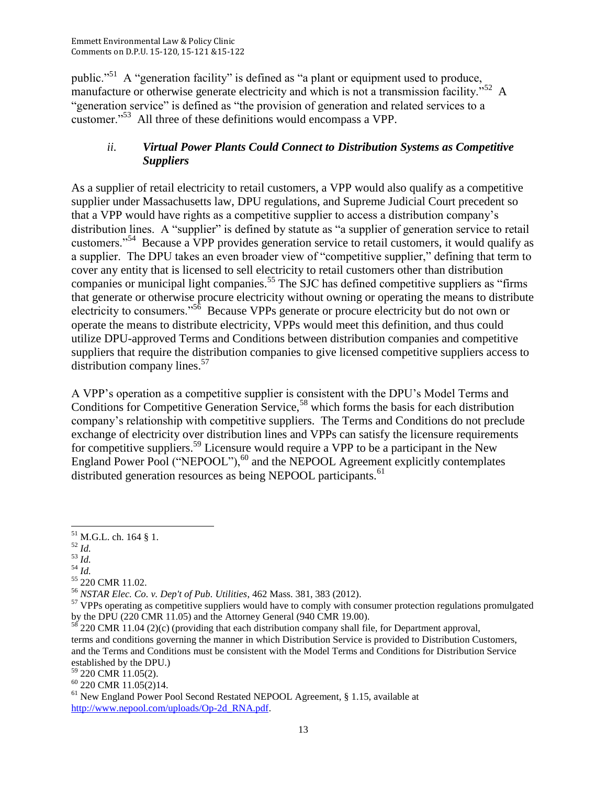public."<sup>51</sup> A "generation facility" is defined as "a plant or equipment used to produce, manufacture or otherwise generate electricity and which is not a transmission facility.<sup> $52$ </sup> A "generation service" is defined as "the provision of generation and related services to a customer."<sup>53</sup> All three of these definitions would encompass a VPP.

## *ii. Virtual Power Plants Could Connect to Distribution Systems as Competitive Suppliers*

As a supplier of retail electricity to retail customers, a VPP would also qualify as a competitive supplier under Massachusetts law, DPU regulations, and Supreme Judicial Court precedent so that a VPP would have rights as a competitive supplier to access a distribution company's distribution lines. A "supplier" is defined by statute as "a supplier of generation service to retail customers."<sup>54</sup> Because a VPP provides generation service to retail customers, it would qualify as a supplier. The DPU takes an even broader view of "competitive supplier," defining that term to cover any entity that is licensed to sell electricity to retail customers other than distribution companies or municipal light companies.<sup>55</sup> The SJC has defined competitive suppliers as "firms" that generate or otherwise procure electricity without owning or operating the means to distribute electricity to consumers."<sup>56</sup> Because VPPs generate or procure electricity but do not own or operate the means to distribute electricity, VPPs would meet this definition, and thus could utilize DPU-approved Terms and Conditions between distribution companies and competitive suppliers that require the distribution companies to give licensed competitive suppliers access to distribution company lines.<sup>57</sup>

A VPP's operation as a competitive supplier is consistent with the DPU's Model Terms and Conditions for Competitive Generation Service,<sup>58</sup> which forms the basis for each distribution company's relationship with competitive suppliers. The Terms and Conditions do not preclude exchange of electricity over distribution lines and VPPs can satisfy the licensure requirements for competitive suppliers.<sup>59</sup> Licensure would require a VPP to be a participant in the New England Power Pool ("NEPOOL"), $^{60}$  and the NEPOOL Agreement explicitly contemplates distributed generation resources as being NEPOOL participants.<sup>61</sup>

 $\frac{52}{1}$ 

 $\overline{\phantom{a}}$ 

- $\frac{1}{3}$   $\frac{1}{d}$ .
- $^{54}$  *Id.*

 $^{51}$  M.G.L. ch. 164 § 1.

<sup>55</sup> 220 CMR 11.02.

<sup>56</sup> *NSTAR Elec. Co. v. Dep't of Pub. Utilities*, 462 Mass. 381, 383 (2012).

<sup>&</sup>lt;sup>57</sup> VPPs operating as competitive suppliers would have to comply with consumer protection regulations promulgated by the DPU (220 CMR 11.05) and the Attorney General (940 CMR 19.00).

 $58^{58}$  220 CMR 11.04 (2)(c) (providing that each distribution company shall file, for Department approval, terms and conditions governing the manner in which Distribution Service is provided to Distribution Customers, and the Terms and Conditions must be consistent with the Model Terms and Conditions for Distribution Service established by the DPU.)

<sup>59</sup> 220 CMR 11.05(2).

 $60$  220 CMR 11.05 $(2)$ 14.

<sup>&</sup>lt;sup>61</sup> New England Power Pool Second Restated NEPOOL Agreement, § 1.15, available at [http://www.nepool.com/uploads/Op-2d\\_RNA.pdf.](http://www.nepool.com/uploads/Op-2d_RNA.pdf)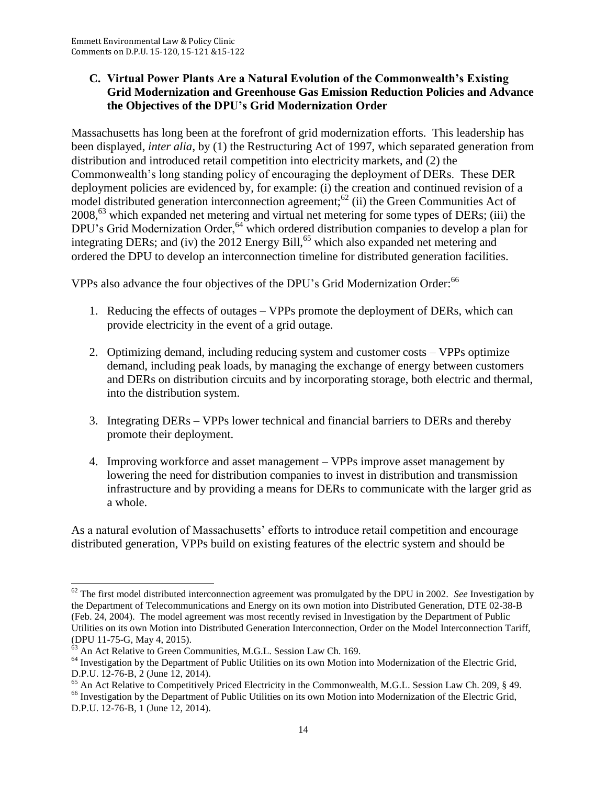### **C. Virtual Power Plants Are a Natural Evolution of the Commonwealth's Existing Grid Modernization and Greenhouse Gas Emission Reduction Policies and Advance the Objectives of the DPU's Grid Modernization Order**

Massachusetts has long been at the forefront of grid modernization efforts. This leadership has been displayed, *inter alia*, by (1) the Restructuring Act of 1997, which separated generation from distribution and introduced retail competition into electricity markets, and (2) the Commonwealth's long standing policy of encouraging the deployment of DERs. These DER deployment policies are evidenced by, for example: (i) the creation and continued revision of a model distributed generation interconnection agreement;<sup>62</sup> (ii) the Green Communities Act of 2008,<sup>63</sup> which expanded net metering and virtual net metering for some types of DERs; (iii) the DPU's Grid Modernization Order,<sup>64</sup> which ordered distribution companies to develop a plan for integrating DERs; and (iv) the 2012 Energy Bill,<sup>65</sup> which also expanded net metering and ordered the DPU to develop an interconnection timeline for distributed generation facilities.

VPPs also advance the four objectives of the DPU's Grid Modernization Order:<sup>66</sup>

- 1. Reducing the effects of outages VPPs promote the deployment of DERs, which can provide electricity in the event of a grid outage.
- 2. Optimizing demand, including reducing system and customer costs VPPs optimize demand, including peak loads, by managing the exchange of energy between customers and DERs on distribution circuits and by incorporating storage, both electric and thermal, into the distribution system.
- 3. Integrating DERs VPPs lower technical and financial barriers to DERs and thereby promote their deployment.
- 4. Improving workforce and asset management VPPs improve asset management by lowering the need for distribution companies to invest in distribution and transmission infrastructure and by providing a means for DERs to communicate with the larger grid as a whole.

As a natural evolution of Massachusetts' efforts to introduce retail competition and encourage distributed generation, VPPs build on existing features of the electric system and should be

l <sup>62</sup> The first model distributed interconnection agreement was promulgated by the DPU in 2002. *See* Investigation by the Department of Telecommunications and Energy on its own motion into Distributed Generation, DTE 02-38-B (Feb. 24, 2004). The model agreement was most recently revised in Investigation by the Department of Public Utilities on its own Motion into Distributed Generation Interconnection, Order on the Model Interconnection Tariff, (DPU 11-75-G, May 4, 2015).

 $63$  An Act Relative to Green Communities, M.G.L. Session Law Ch. 169.

<sup>&</sup>lt;sup>64</sup> Investigation by the Department of Public Utilities on its own Motion into Modernization of the Electric Grid, D.P.U. 12-76-B, 2 (June 12, 2014).

<sup>&</sup>lt;sup>65</sup> An Act Relative to Competitively Priced Electricity in the Commonwealth, M.G.L. Session Law Ch. 209, § 49. <sup>66</sup> Investigation by the Department of Public Utilities on its own Motion into Modernization of the Electric Grid, D.P.U. 12-76-B, 1 (June 12, 2014).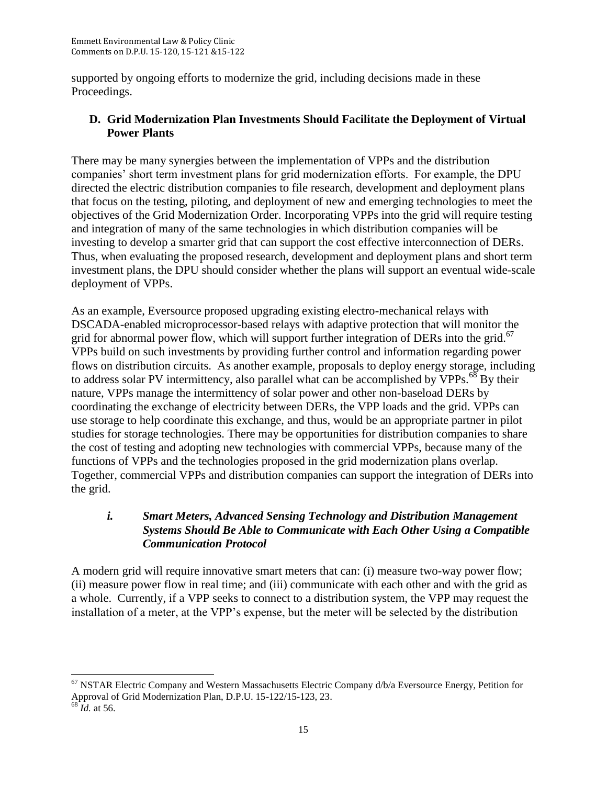supported by ongoing efforts to modernize the grid, including decisions made in these Proceedings.

## **D. Grid Modernization Plan Investments Should Facilitate the Deployment of Virtual Power Plants**

There may be many synergies between the implementation of VPPs and the distribution companies' short term investment plans for grid modernization efforts. For example, the DPU directed the electric distribution companies to file research, development and deployment plans that focus on the testing, piloting, and deployment of new and emerging technologies to meet the objectives of the Grid Modernization Order. Incorporating VPPs into the grid will require testing and integration of many of the same technologies in which distribution companies will be investing to develop a smarter grid that can support the cost effective interconnection of DERs. Thus, when evaluating the proposed research, development and deployment plans and short term investment plans, the DPU should consider whether the plans will support an eventual wide-scale deployment of VPPs.

As an example, Eversource proposed upgrading existing electro-mechanical relays with DSCADA-enabled microprocessor-based relays with adaptive protection that will monitor the grid for abnormal power flow, which will support further integration of DERs into the grid.<sup>67</sup> VPPs build on such investments by providing further control and information regarding power flows on distribution circuits. As another example, proposals to deploy energy storage, including to address solar PV intermittency, also parallel what can be accomplished by  $VPPs.$ <sup>68</sup> By their nature, VPPs manage the intermittency of solar power and other non-baseload DERs by coordinating the exchange of electricity between DERs, the VPP loads and the grid. VPPs can use storage to help coordinate this exchange, and thus, would be an appropriate partner in pilot studies for storage technologies. There may be opportunities for distribution companies to share the cost of testing and adopting new technologies with commercial VPPs, because many of the functions of VPPs and the technologies proposed in the grid modernization plans overlap. Together, commercial VPPs and distribution companies can support the integration of DERs into the grid.

## *i. Smart Meters, Advanced Sensing Technology and Distribution Management Systems Should Be Able to Communicate with Each Other Using a Compatible Communication Protocol*

A modern grid will require innovative smart meters that can: (i) measure two-way power flow; (ii) measure power flow in real time; and (iii) communicate with each other and with the grid as a whole. Currently, if a VPP seeks to connect to a distribution system, the VPP may request the installation of a meter, at the VPP's expense, but the meter will be selected by the distribution

 $\overline{\phantom{a}}$  $67$  NSTAR Electric Company and Western Massachusetts Electric Company  $\frac{d}{b/a}$  Eversource Energy, Petition for Approval of Grid Modernization Plan, D.P.U. 15-122/15-123, 23.

 $68$ *Id.* at 56.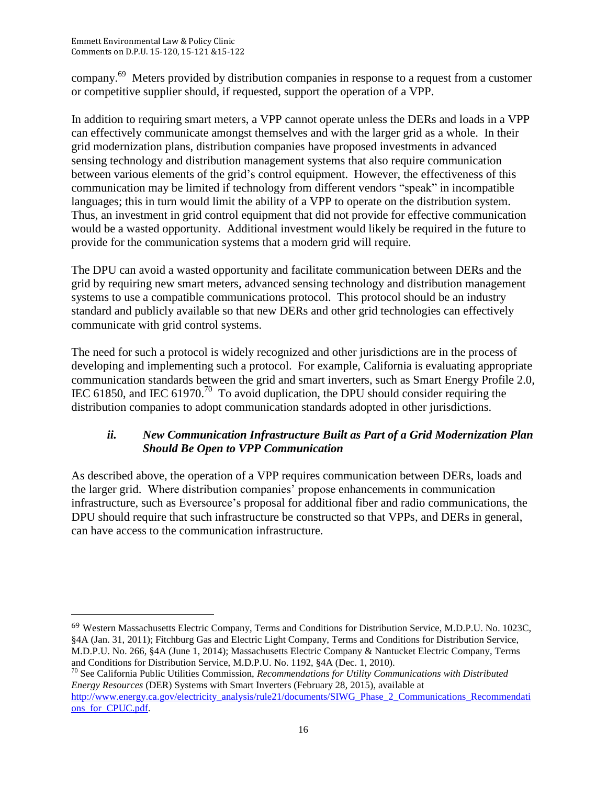$\overline{\phantom{a}}$ 

company.<sup>69</sup> Meters provided by distribution companies in response to a request from a customer or competitive supplier should, if requested, support the operation of a VPP.

In addition to requiring smart meters, a VPP cannot operate unless the DERs and loads in a VPP can effectively communicate amongst themselves and with the larger grid as a whole. In their grid modernization plans, distribution companies have proposed investments in advanced sensing technology and distribution management systems that also require communication between various elements of the grid's control equipment. However, the effectiveness of this communication may be limited if technology from different vendors "speak" in incompatible languages; this in turn would limit the ability of a VPP to operate on the distribution system. Thus, an investment in grid control equipment that did not provide for effective communication would be a wasted opportunity. Additional investment would likely be required in the future to provide for the communication systems that a modern grid will require.

The DPU can avoid a wasted opportunity and facilitate communication between DERs and the grid by requiring new smart meters, advanced sensing technology and distribution management systems to use a compatible communications protocol. This protocol should be an industry standard and publicly available so that new DERs and other grid technologies can effectively communicate with grid control systems.

The need for such a protocol is widely recognized and other jurisdictions are in the process of developing and implementing such a protocol. For example, California is evaluating appropriate communication standards between the grid and smart inverters, such as Smart Energy Profile 2.0, IEC 61850, and IEC 61970.<sup>70</sup> To avoid duplication, the DPU should consider requiring the distribution companies to adopt communication standards adopted in other jurisdictions.

# *ii. New Communication Infrastructure Built as Part of a Grid Modernization Plan Should Be Open to VPP Communication*

As described above, the operation of a VPP requires communication between DERs, loads and the larger grid. Where distribution companies' propose enhancements in communication infrastructure, such as Eversource's proposal for additional fiber and radio communications, the DPU should require that such infrastructure be constructed so that VPPs, and DERs in general, can have access to the communication infrastructure.

<sup>69</sup> Western Massachusetts Electric Company, Terms and Conditions for Distribution Service, M.D.P.U. No. 1023C, §4A (Jan. 31, 2011); Fitchburg Gas and Electric Light Company, Terms and Conditions for Distribution Service, M.D.P.U. No. 266, §4A (June 1, 2014); Massachusetts Electric Company & Nantucket Electric Company, Terms and Conditions for Distribution Service, M.D.P.U. No. 1192, §4A (Dec. 1, 2010).

<sup>70</sup> See California Public Utilities Commission, *Recommendations for Utility Communications with Distributed Energy Resources* (DER) Systems with Smart Inverters (February 28, 2015), available at [http://www.energy.ca.gov/electricity\\_analysis/rule21/documents/SIWG\\_Phase\\_2\\_Communications\\_Recommendati](http://www.energy.ca.gov/electricity_analysis/rule21/documents/SIWG_Phase_2_Communications_Recommendations_for_CPUC.pdf) ons\_for\_CPUC.pdf.